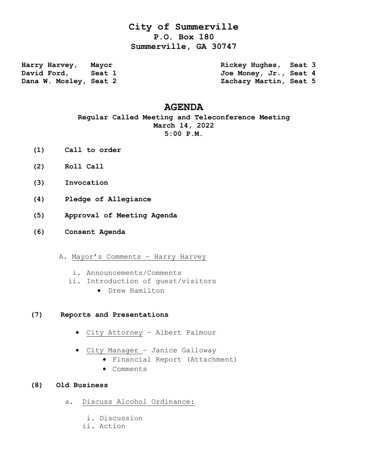## **City of Summerville P.O. Box 180 Summerville, GA 30747**

**Harry Harvey, Mayor Rickey Hughes, Seat 3 David Ford, Seat 1 Joe Money, Jr., Seat 4 Dana W. Mosley, Seat 2 Zachary Martin, Seat 5** 

## **AGENDA**

**Regular Called Meeting and Teleconference Meeting March 14, 2022 5:00 P.M.**

- **(1) Call to order**
- **(2) Roll Call**
- **(3) Invocation**
- **(4) Pledge of Allegiance**
- **(5) Approval of Meeting Agenda**
- **(6) Consent Agenda**
	- A. Mayor's Comments Harry Harvey
		- i. Announcements/Comments
		- ii. Introduction of guest/visitors
			- Drew Hamilton

## **(7) Reports and Presentations**

- City Attorney Albert Palmour
- City Manager Janice Galloway
	- Financial Report (Attachment)
	- Comments
- **(8) Old Business**
	- a. Discuss Alcohol Ordinance:
		- i. Discussion
		- ii. Action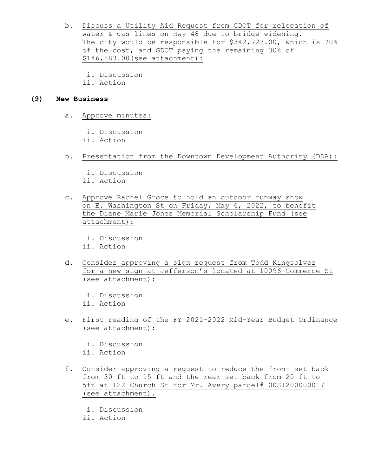- b. Discuss a Utility Aid Request from GDOT for relocation of water & gas lines on Hwy 48 due to bridge widening. The city would be responsible for \$342,727.00, which is 70% of the cost, and GDOT paying the remaining 30% of \$146,883.00(see attachment):
	- i. Discussion
	- ii. Action

## **(9) New Business**

a. Approve minutes:

i. Discussion ii. Action

- b. Presentation from the Downtown Development Authority (DDA):
	- i. Discussion ii. Action
- c. Approve Rachel Groce to hold an outdoor runway show on E. Washington St on Friday, May 6, 2022, to benefit the Diane Marie Jones Memorial Scholarship Fund (see attachment):
	- i. Discussion
	- ii. Action
- d. Consider approving a sign request from Todd Kingsolver for a new sign at Jefferson's located at 10096 Commerce St (see attachment):
	- i. Discussion ii. Action
- e. First reading of the FY 2021-2022 Mid-Year Budget Ordinance (see attachment):

 i. Discussion ii. Action

- f. Consider approving a request to reduce the front set back from 30 ft to 15 ft and the rear set back from 20 ft to 5ft at 122 Church St for Mr. Avery parcel# 00S1200000017 (see attachment).
	- i. Discussion
	- ii. Action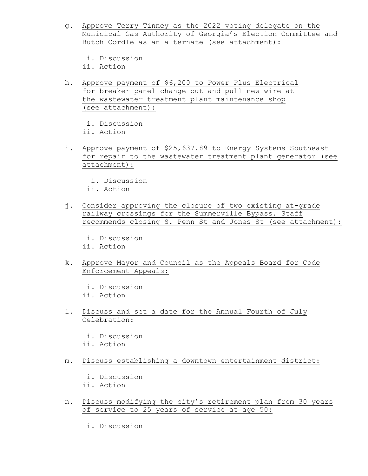- g. Approve Terry Tinney as the 2022 voting delegate on the Municipal Gas Authority of Georgia's Election Committee and Butch Cordle as an alternate (see attachment):
	- i. Discussion
	- ii. Action
- h. Approve payment of \$6,200 to Power Plus Electrical for breaker panel change out and pull new wire at the wastewater treatment plant maintenance shop (see attachment):
	- i. Discussion
	- ii. Action
- i. Approve payment of \$25,637.89 to Energy Systems Southeast for repair to the wastewater treatment plant generator (see attachment):
	- i. Discussion
	- ii. Action
- j. Consider approving the closure of two existing at-grade railway crossings for the Summerville Bypass. Staff recommends closing S. Penn St and Jones St (see attachment):
	- i. Discussion
	- ii. Action
- k. Approve Mayor and Council as the Appeals Board for Code Enforcement Appeals:
	- i. Discussion ii. Action
- l. Discuss and set a date for the Annual Fourth of July Celebration:
	- i. Discussion ii. Action
- m. Discuss establishing a downtown entertainment district:
	- i. Discussion ii. Action
- n. Discuss modifying the city's retirement plan from 30 years of service to 25 years of service at age 50:
	- i. Discussion